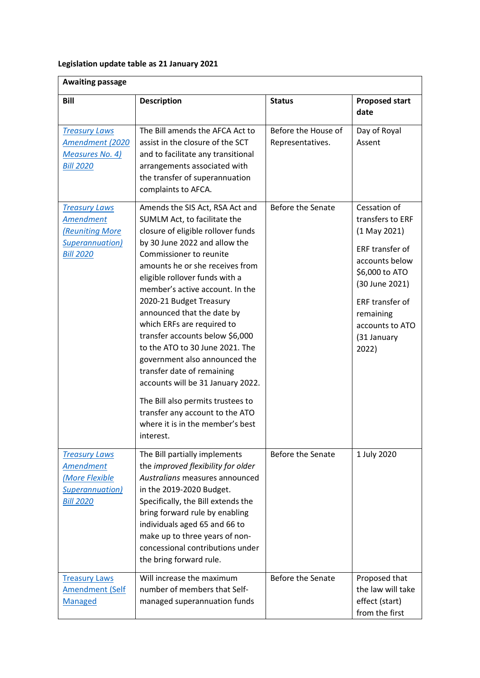## **Legislation update table as 21 January 2021**

| <b>Awaiting passage</b>                                                                                  |                                                                                                                                                                                                                                                                                                                                                                                                                                                                                                                                                                                                                                                                     |                                         |                                                                                                                                                                                                        |  |
|----------------------------------------------------------------------------------------------------------|---------------------------------------------------------------------------------------------------------------------------------------------------------------------------------------------------------------------------------------------------------------------------------------------------------------------------------------------------------------------------------------------------------------------------------------------------------------------------------------------------------------------------------------------------------------------------------------------------------------------------------------------------------------------|-----------------------------------------|--------------------------------------------------------------------------------------------------------------------------------------------------------------------------------------------------------|--|
| <b>Bill</b>                                                                                              | <b>Description</b>                                                                                                                                                                                                                                                                                                                                                                                                                                                                                                                                                                                                                                                  | <b>Status</b>                           | <b>Proposed start</b><br>date                                                                                                                                                                          |  |
| <b>Treasury Laws</b><br>Amendment (2020<br><b>Measures No. 4)</b><br><b>Bill 2020</b>                    | The Bill amends the AFCA Act to<br>assist in the closure of the SCT<br>and to facilitate any transitional<br>arrangements associated with<br>the transfer of superannuation<br>complaints to AFCA.                                                                                                                                                                                                                                                                                                                                                                                                                                                                  | Before the House of<br>Representatives. | Day of Royal<br>Assent                                                                                                                                                                                 |  |
| <b>Treasury Laws</b><br><b>Amendment</b><br><b>Reuniting More</b><br>Superannuation)<br><b>Bill 2020</b> | Amends the SIS Act, RSA Act and<br>SUMLM Act, to facilitate the<br>closure of eligible rollover funds<br>by 30 June 2022 and allow the<br>Commissioner to reunite<br>amounts he or she receives from<br>eligible rollover funds with a<br>member's active account. In the<br>2020-21 Budget Treasury<br>announced that the date by<br>which ERFs are required to<br>transfer accounts below \$6,000<br>to the ATO to 30 June 2021. The<br>government also announced the<br>transfer date of remaining<br>accounts will be 31 January 2022.<br>The Bill also permits trustees to<br>transfer any account to the ATO<br>where it is in the member's best<br>interest. | <b>Before the Senate</b>                | Cessation of<br>transfers to ERF<br>$(1$ May 2021)<br>ERF transfer of<br>accounts below<br>\$6,000 to ATO<br>(30 June 2021)<br>ERF transfer of<br>remaining<br>accounts to ATO<br>(31 January<br>2022) |  |
| <b>Treasury Laws</b><br><b>Amendment</b><br>(More Flexible<br>Superannuation)<br><b>Bill 2020</b>        | The Bill partially implements<br>the improved flexibility for older<br>Australians measures announced<br>in the 2019-2020 Budget.<br>Specifically, the Bill extends the<br>bring forward rule by enabling<br>individuals aged 65 and 66 to<br>make up to three years of non-<br>concessional contributions under<br>the bring forward rule.                                                                                                                                                                                                                                                                                                                         | Before the Senate                       | 1 July 2020                                                                                                                                                                                            |  |
| <b>Treasury Laws</b><br><b>Amendment (Self</b><br>Managed                                                | Will increase the maximum<br>number of members that Self-<br>managed superannuation funds                                                                                                                                                                                                                                                                                                                                                                                                                                                                                                                                                                           | Before the Senate                       | Proposed that<br>the law will take<br>effect (start)<br>from the first                                                                                                                                 |  |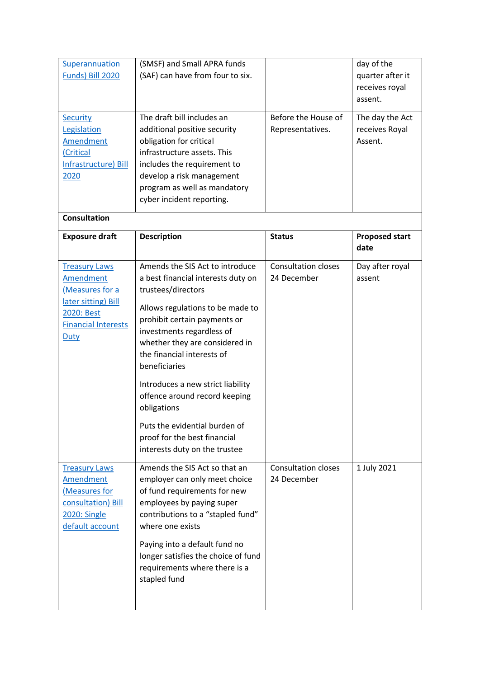| Superannuation<br>Funds) Bill 2020<br>Security<br>Legislation<br><b>Amendment</b><br>(Critical<br>Infrastructure) Bill<br>2020<br><b>Consultation</b> | (SMSF) and Small APRA funds<br>(SAF) can have from four to six.<br>The draft bill includes an<br>additional positive security<br>obligation for critical<br>infrastructure assets. This<br>includes the requirement to<br>develop a risk management<br>program as well as mandatory<br>cyber incident reporting.                                                                                                                                                     | Before the House of<br>Representatives.   | day of the<br>quarter after it<br>receives royal<br>assent.<br>The day the Act<br>receives Royal<br>Assent. |
|-------------------------------------------------------------------------------------------------------------------------------------------------------|----------------------------------------------------------------------------------------------------------------------------------------------------------------------------------------------------------------------------------------------------------------------------------------------------------------------------------------------------------------------------------------------------------------------------------------------------------------------|-------------------------------------------|-------------------------------------------------------------------------------------------------------------|
| <b>Exposure draft</b>                                                                                                                                 | <b>Description</b>                                                                                                                                                                                                                                                                                                                                                                                                                                                   | <b>Status</b>                             | <b>Proposed start</b><br>date                                                                               |
| <b>Treasury Laws</b><br><b>Amendment</b><br>(Measures for a<br>later sitting) Bill<br>2020: Best<br><b>Financial Interests</b><br>Duty                | Amends the SIS Act to introduce<br>a best financial interests duty on<br>trustees/directors<br>Allows regulations to be made to<br>prohibit certain payments or<br>investments regardless of<br>whether they are considered in<br>the financial interests of<br>beneficiaries<br>Introduces a new strict liability<br>offence around record keeping<br>obligations<br>Puts the evidential burden of<br>proof for the best financial<br>interests duty on the trustee | <b>Consultation closes</b><br>24 December | Day after royal<br>assent                                                                                   |
| <b>Treasury Laws</b><br><b>Amendment</b><br>(Measures for<br>consultation) Bill<br><b>2020: Single</b><br>default account                             | Amends the SIS Act so that an<br>employer can only meet choice<br>of fund requirements for new<br>employees by paying super<br>contributions to a "stapled fund"<br>where one exists<br>Paying into a default fund no<br>longer satisfies the choice of fund<br>requirements where there is a<br>stapled fund                                                                                                                                                        | <b>Consultation closes</b><br>24 December | 1 July 2021                                                                                                 |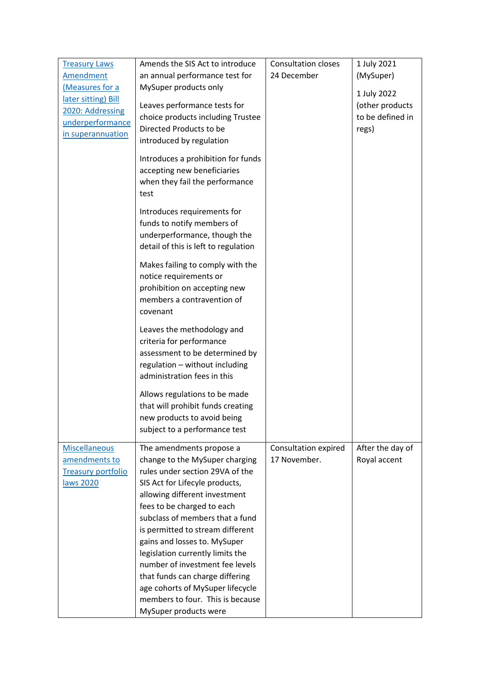| <b>Treasury Laws</b>      | Amends the SIS Act to introduce                                                                                          | <b>Consultation closes</b> | 1 July 2021      |
|---------------------------|--------------------------------------------------------------------------------------------------------------------------|----------------------------|------------------|
| <b>Amendment</b>          | an annual performance test for                                                                                           | 24 December                | (MySuper)        |
| (Measures for a           | MySuper products only                                                                                                    |                            |                  |
| later sitting) Bill       |                                                                                                                          |                            | 1 July 2022      |
| 2020: Addressing          | Leaves performance tests for                                                                                             |                            | (other products  |
| underperformance          | choice products including Trustee                                                                                        |                            | to be defined in |
| in superannuation         | Directed Products to be                                                                                                  |                            | regs)            |
|                           | introduced by regulation                                                                                                 |                            |                  |
|                           | Introduces a prohibition for funds<br>accepting new beneficiaries<br>when they fail the performance<br>test              |                            |                  |
|                           | Introduces requirements for                                                                                              |                            |                  |
|                           | funds to notify members of                                                                                               |                            |                  |
|                           | underperformance, though the                                                                                             |                            |                  |
|                           | detail of this is left to regulation                                                                                     |                            |                  |
|                           | Makes failing to comply with the<br>notice requirements or<br>prohibition on accepting new<br>members a contravention of |                            |                  |
|                           | covenant                                                                                                                 |                            |                  |
|                           | Leaves the methodology and                                                                                               |                            |                  |
|                           | criteria for performance                                                                                                 |                            |                  |
|                           | assessment to be determined by                                                                                           |                            |                  |
|                           | regulation - without including                                                                                           |                            |                  |
|                           | administration fees in this                                                                                              |                            |                  |
|                           | Allows regulations to be made                                                                                            |                            |                  |
|                           | that will prohibit funds creating                                                                                        |                            |                  |
|                           | new products to avoid being                                                                                              |                            |                  |
|                           | subject to a performance test                                                                                            |                            |                  |
| <b>Miscellaneous</b>      | The amendments propose a                                                                                                 | Consultation expired       | After the day of |
| amendments to             | change to the MySuper charging                                                                                           | 17 November.               | Royal accent     |
| <b>Treasury portfolio</b> | rules under section 29VA of the                                                                                          |                            |                  |
| laws 2020                 | SIS Act for Lifecyle products,                                                                                           |                            |                  |
|                           | allowing different investment                                                                                            |                            |                  |
|                           | fees to be charged to each                                                                                               |                            |                  |
|                           | subclass of members that a fund                                                                                          |                            |                  |
|                           | is permitted to stream different                                                                                         |                            |                  |
|                           | gains and losses to. MySuper                                                                                             |                            |                  |
|                           | legislation currently limits the                                                                                         |                            |                  |
|                           | number of investment fee levels                                                                                          |                            |                  |
|                           | that funds can charge differing                                                                                          |                            |                  |
|                           | age cohorts of MySuper lifecycle                                                                                         |                            |                  |
|                           | members to four. This is because                                                                                         |                            |                  |
|                           | MySuper products were                                                                                                    |                            |                  |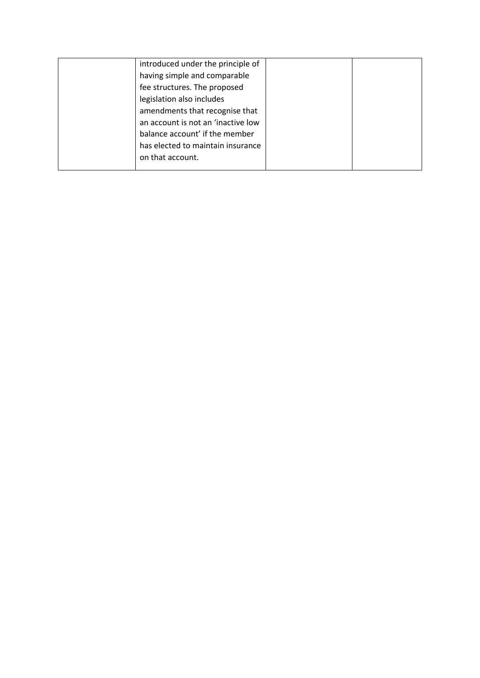| introduced under the principle of  |  |
|------------------------------------|--|
| having simple and comparable       |  |
| fee structures. The proposed       |  |
| legislation also includes          |  |
| amendments that recognise that     |  |
| an account is not an 'inactive low |  |
| balance account' if the member     |  |
| has elected to maintain insurance  |  |
| on that account.                   |  |
|                                    |  |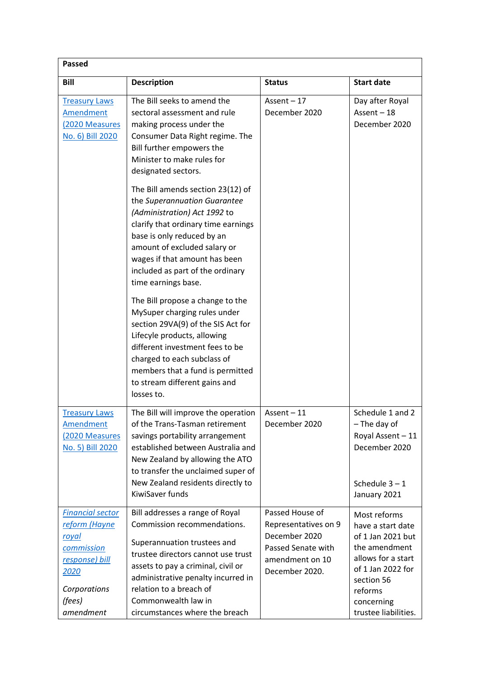| <b>Passed</b>                                                                                                                           |                                                                                                                                                                                                                                                                                                     |                                                                                                                     |                                                                                                                                                                                   |  |
|-----------------------------------------------------------------------------------------------------------------------------------------|-----------------------------------------------------------------------------------------------------------------------------------------------------------------------------------------------------------------------------------------------------------------------------------------------------|---------------------------------------------------------------------------------------------------------------------|-----------------------------------------------------------------------------------------------------------------------------------------------------------------------------------|--|
| <b>Bill</b>                                                                                                                             | <b>Description</b>                                                                                                                                                                                                                                                                                  | <b>Status</b>                                                                                                       | <b>Start date</b>                                                                                                                                                                 |  |
| <b>Treasury Laws</b><br><b>Amendment</b><br>(2020 Measures<br>No. 6) Bill 2020                                                          | The Bill seeks to amend the<br>sectoral assessment and rule<br>making process under the<br>Consumer Data Right regime. The<br>Bill further empowers the<br>Minister to make rules for<br>designated sectors.                                                                                        | Assent $-17$<br>December 2020                                                                                       | Day after Royal<br>Assent $-18$<br>December 2020                                                                                                                                  |  |
|                                                                                                                                         | The Bill amends section 23(12) of<br>the Superannuation Guarantee<br>(Administration) Act 1992 to<br>clarify that ordinary time earnings<br>base is only reduced by an<br>amount of excluded salary or<br>wages if that amount has been<br>included as part of the ordinary<br>time earnings base.  |                                                                                                                     |                                                                                                                                                                                   |  |
|                                                                                                                                         | The Bill propose a change to the<br>MySuper charging rules under<br>section 29VA(9) of the SIS Act for<br>Lifecyle products, allowing<br>different investment fees to be<br>charged to each subclass of<br>members that a fund is permitted<br>to stream different gains and<br>losses to.          |                                                                                                                     |                                                                                                                                                                                   |  |
| <b>Treasury Laws</b><br><b>Amendment</b><br>(2020 Measures<br>No. 5) Bill 2020                                                          | The Bill will improve the operation<br>of the Trans-Tasman retirement<br>savings portability arrangement<br>established between Australia and<br>New Zealand by allowing the ATO<br>to transfer the unclaimed super of<br>New Zealand residents directly to<br>KiwiSaver funds                      | Assent-11<br>December 2020                                                                                          | Schedule 1 and 2<br>$-$ The day of<br>Royal Assent - 11<br>December 2020<br>Schedule $3 - 1$<br>January 2021                                                                      |  |
| <b>Financial sector</b><br>reform (Hayne<br><u>royal</u><br>commission<br>response) bill<br>2020<br>Corporations<br>(fees)<br>amendment | Bill addresses a range of Royal<br>Commission recommendations.<br>Superannuation trustees and<br>trustee directors cannot use trust<br>assets to pay a criminal, civil or<br>administrative penalty incurred in<br>relation to a breach of<br>Commonwealth law in<br>circumstances where the breach | Passed House of<br>Representatives on 9<br>December 2020<br>Passed Senate with<br>amendment on 10<br>December 2020. | Most reforms<br>have a start date<br>of 1 Jan 2021 but<br>the amendment<br>allows for a start<br>of 1 Jan 2022 for<br>section 56<br>reforms<br>concerning<br>trustee liabilities. |  |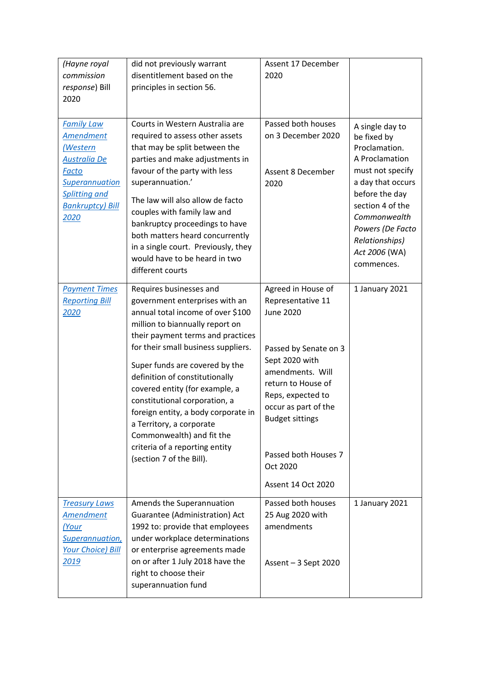| (Hayne royal                                    | did not previously warrant          | Assent 17 December                        |                                     |
|-------------------------------------------------|-------------------------------------|-------------------------------------------|-------------------------------------|
| commission                                      | disentitlement based on the         | 2020                                      |                                     |
| response) Bill                                  | principles in section 56.           |                                           |                                     |
| 2020                                            |                                     |                                           |                                     |
|                                                 |                                     |                                           |                                     |
| <b>Family Law</b>                               | Courts in Western Australia are     | Passed both houses                        | A single day to                     |
| <b>Amendment</b>                                | required to assess other assets     | on 3 December 2020                        | be fixed by                         |
| <u>(Western</u>                                 | that may be split between the       |                                           | Proclamation.                       |
| Australia De                                    | parties and make adjustments in     |                                           | A Proclamation                      |
| Facto                                           | favour of the party with less       | Assent 8 December                         | must not specify                    |
| <b>Superannuation</b>                           | superannuation.'                    | 2020                                      | a day that occurs<br>before the day |
| <b>Splitting and</b><br><b>Bankruptcy) Bill</b> | The law will also allow de facto    |                                           | section 4 of the                    |
| <u> 2020</u>                                    | couples with family law and         |                                           | Commonwealth                        |
|                                                 | bankruptcy proceedings to have      |                                           | Powers (De Facto                    |
|                                                 | both matters heard concurrently     |                                           | Relationships)                      |
|                                                 | in a single court. Previously, they |                                           | Act 2006 (WA)                       |
|                                                 | would have to be heard in two       |                                           | commences.                          |
|                                                 | different courts                    |                                           |                                     |
| <b>Payment Times</b>                            | Requires businesses and             | Agreed in House of                        | 1 January 2021                      |
| <b>Reporting Bill</b>                           | government enterprises with an      | Representative 11                         |                                     |
| 2020                                            | annual total income of over \$100   | <b>June 2020</b>                          |                                     |
|                                                 | million to biannually report on     |                                           |                                     |
|                                                 | their payment terms and practices   |                                           |                                     |
|                                                 | for their small business suppliers. | Passed by Senate on 3                     |                                     |
|                                                 | Super funds are covered by the      | Sept 2020 with                            |                                     |
|                                                 | definition of constitutionally      | amendments. Will                          |                                     |
|                                                 | covered entity (for example, a      | return to House of                        |                                     |
|                                                 | constitutional corporation, a       | Reps, expected to<br>occur as part of the |                                     |
|                                                 | foreign entity, a body corporate in | <b>Budget sittings</b>                    |                                     |
|                                                 | a Territory, a corporate            |                                           |                                     |
|                                                 | Commonwealth) and fit the           |                                           |                                     |
|                                                 | criteria of a reporting entity      | Passed both Houses 7                      |                                     |
|                                                 | (section 7 of the Bill).            | Oct 2020                                  |                                     |
|                                                 |                                     |                                           |                                     |
|                                                 |                                     | <b>Assent 14 Oct 2020</b>                 |                                     |
| <b>Treasury Laws</b>                            | Amends the Superannuation           | Passed both houses                        | 1 January 2021                      |
| Amendment                                       | Guarantee (Administration) Act      | 25 Aug 2020 with                          |                                     |
| (Your                                           | 1992 to: provide that employees     | amendments                                |                                     |
| Superannuation,                                 | under workplace determinations      |                                           |                                     |
| <b>Your Choice) Bill</b>                        | or enterprise agreements made       |                                           |                                     |
| <u> 2019</u>                                    | on or after 1 July 2018 have the    | Assent $-3$ Sept 2020                     |                                     |
|                                                 | right to choose their               |                                           |                                     |
|                                                 | superannuation fund                 |                                           |                                     |